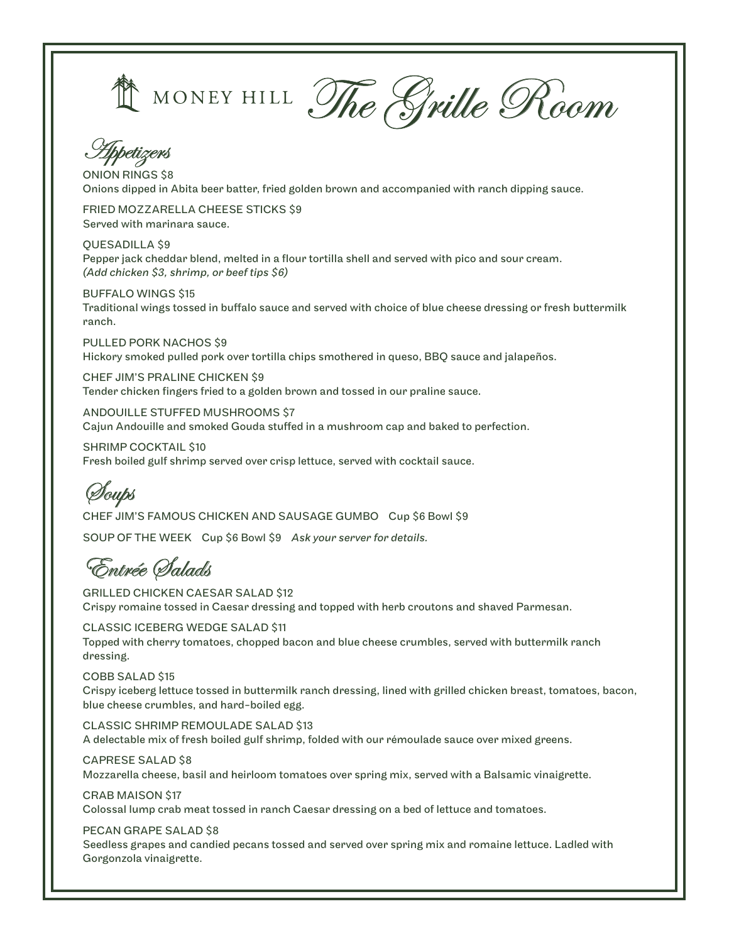MONEY HILL The Swille Room



ONION RINGS \$8 Onions dipped in Abita beer batter, fried golden brown and accompanied with ranch dipping sauce.

FRIED MOZZARELLA CHEESE STICKS \$9 Served with marinara sauce.

QUESADILLA \$9 Pepper jack cheddar blend, melted in a flour tortilla shell and served with pico and sour cream. *(Add chicken \$3, shrimp, or beef tips \$6)*

BUFFALO WINGS \$15 Traditional wings tossed in buffalo sauce and served with choice of blue cheese dressing or fresh buttermilk ranch.

PULLED PORK NACHOS \$9 Hickory smoked pulled pork over tortilla chips smothered in queso, BBQ sauce and jalapeños.

CHEF JIM'S PRALINE CHICKEN \$9 Tender chicken fingers fried to a golden brown and tossed in our praline sauce.

ANDOUILLE STUFFED MUSHROOMS \$7 Cajun Andouille and smoked Gouda stuffed in a mushroom cap and baked to perfection.

SHRIMP COCKTAIL \$10 Fresh boiled gulf shrimp served over crisp lettuce, served with cocktail sauce.

Soups

CHEF JIM'S FAMOUS CHICKEN AND SAUSAGE GUMBO Cup \$6 Bowl \$9 SOUP OF THE WEEK Cup \$6 Bowl \$9 *Ask your server for details.*

Entrée Salads

GRILLED CHICKEN CAESAR SALAD \$12 Crispy romaine tossed in Caesar dressing and topped with herb croutons and shaved Parmesan.

CLASSIC ICEBERG WEDGE SALAD \$11 Topped with cherry tomatoes, chopped bacon and blue cheese crumbles, served with buttermilk ranch dressing.

COBB SALAD \$15 Crispy iceberg lettuce tossed in buttermilk ranch dressing, lined with grilled chicken breast, tomatoes, bacon, blue cheese crumbles, and hard-boiled egg.

CLASSIC SHRIMP REMOULADE SALAD \$13 A delectable mix of fresh boiled gulf shrimp, folded with our rémoulade sauce over mixed greens.

CAPRESE SALAD \$8 Mozzarella cheese, basil and heirloom tomatoes over spring mix, served with a Balsamic vinaigrette.

CRAB MAISON \$17 Colossal lump crab meat tossed in ranch Caesar dressing on a bed of lettuce and tomatoes.

PECAN GRAPE SALAD \$8

Seedless grapes and candied pecans tossed and served over spring mix and romaine lettuce. Ladled with Gorgonzola vinaigrette.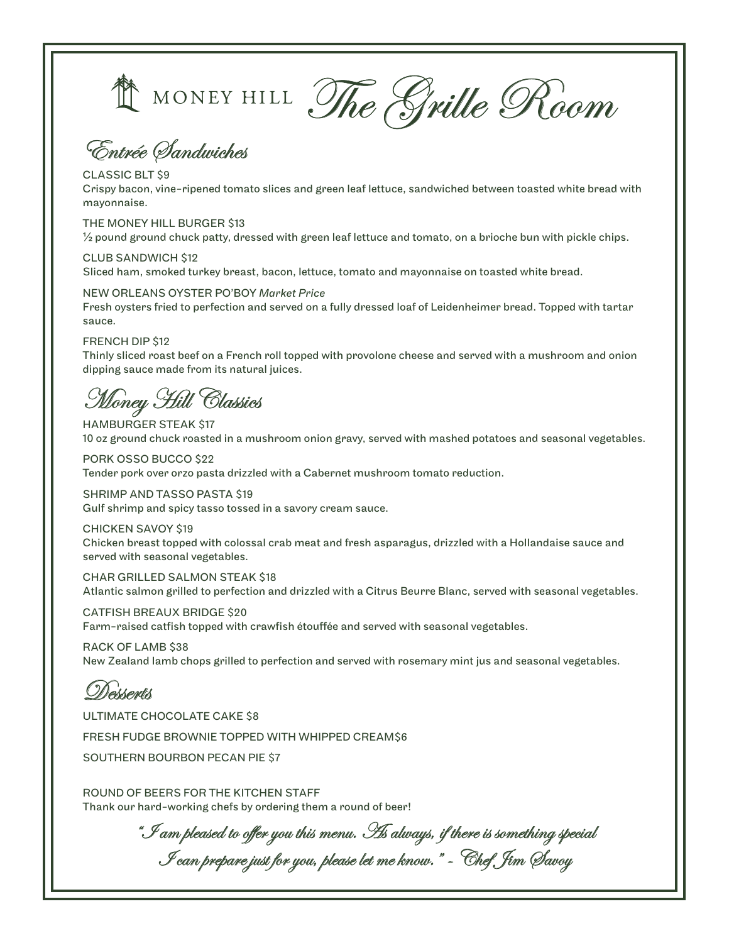

The Sville Room

Entrée Sandwiches

### CLASSIC BLT \$9

Crispy bacon, vine-ripened tomato slices and green leaf lettuce, sandwiched between toasted white bread with mayonnaise.

### THE MONEY HILL BURGER \$13

 $\frac{1}{2}$  pound ground chuck patty, dressed with green leaf lettuce and tomato, on a brioche bun with pickle chips.

### CLUB SANDWICH \$12

Sliced ham, smoked turkey breast, bacon, lettuce, tomato and mayonnaise on toasted white bread.

### NEW ORLEANS OYSTER PO'BOY *Market Price*

Fresh oysters fried to perfection and served on a fully dressed loaf of Leidenheimer bread. Topped with tartar sauce.

### FRENCH DIP \$12

Thinly sliced roast beef on a French roll topped with provolone cheese and served with a mushroom and onion dipping sauce made from its natural juices.

Money Hill Classics

HAMBURGER STEAK \$17 10 oz ground chuck roasted in a mushroom onion gravy, served with mashed potatoes and seasonal vegetables.

PORK OSSO BUCCO \$22 Tender pork over orzo pasta drizzled with a Cabernet mushroom tomato reduction.

SHRIMP AND TASSO PASTA \$19 Gulf shrimp and spicy tasso tossed in a savory cream sauce.

CHICKEN SAVOY \$19 Chicken breast topped with colossal crab meat and fresh asparagus, drizzled with a Hollandaise sauce and served with seasonal vegetables.

CHAR GRILLED SALMON STEAK \$18 Atlantic salmon grilled to perfection and drizzled with a Citrus Beurre Blanc, served with seasonal vegetables.

CATFISH BREAUX BRIDGE \$20 Farm-raised catfish topped with crawfish étouffée and served with seasonal vegetables.

RACK OF LAMB \$38 New Zealand lamb chops grilled to perfection and served with rosemary mint jus and seasonal vegetables.

### Desserts

ULTIMATE CHOCOLATE CAKE \$8

FRESH FUDGE BROWNIE TOPPED WITH WHIPPED CREAM\$6

SOUTHERN BOURBON PECAN PIE \$7

ROUND OF BEERS FOR THE KITCHEN STAFF Thank our hard-working chefs by ordering them a round of beer!

 $\mathscr ^{\ast}\mathscr{F}$ am pleased to offer you this menu.  $\mathscr{B}$ s always, if there is something special I can prepare just for you, please let me know." - Chef Jim Savoy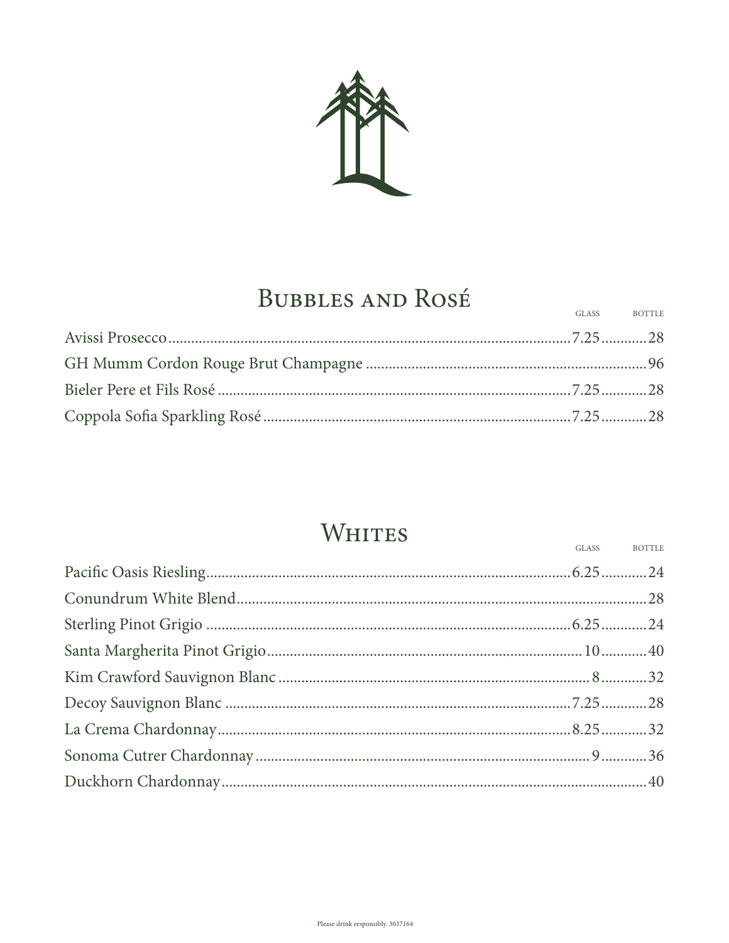

## **BUBBLES AND ROSÉ**

|  | GLASS BOTTLE |
|--|--------------|
|  |              |
|  |              |
|  |              |
|  |              |

## WHITES

GLASS

**BOTTLE**